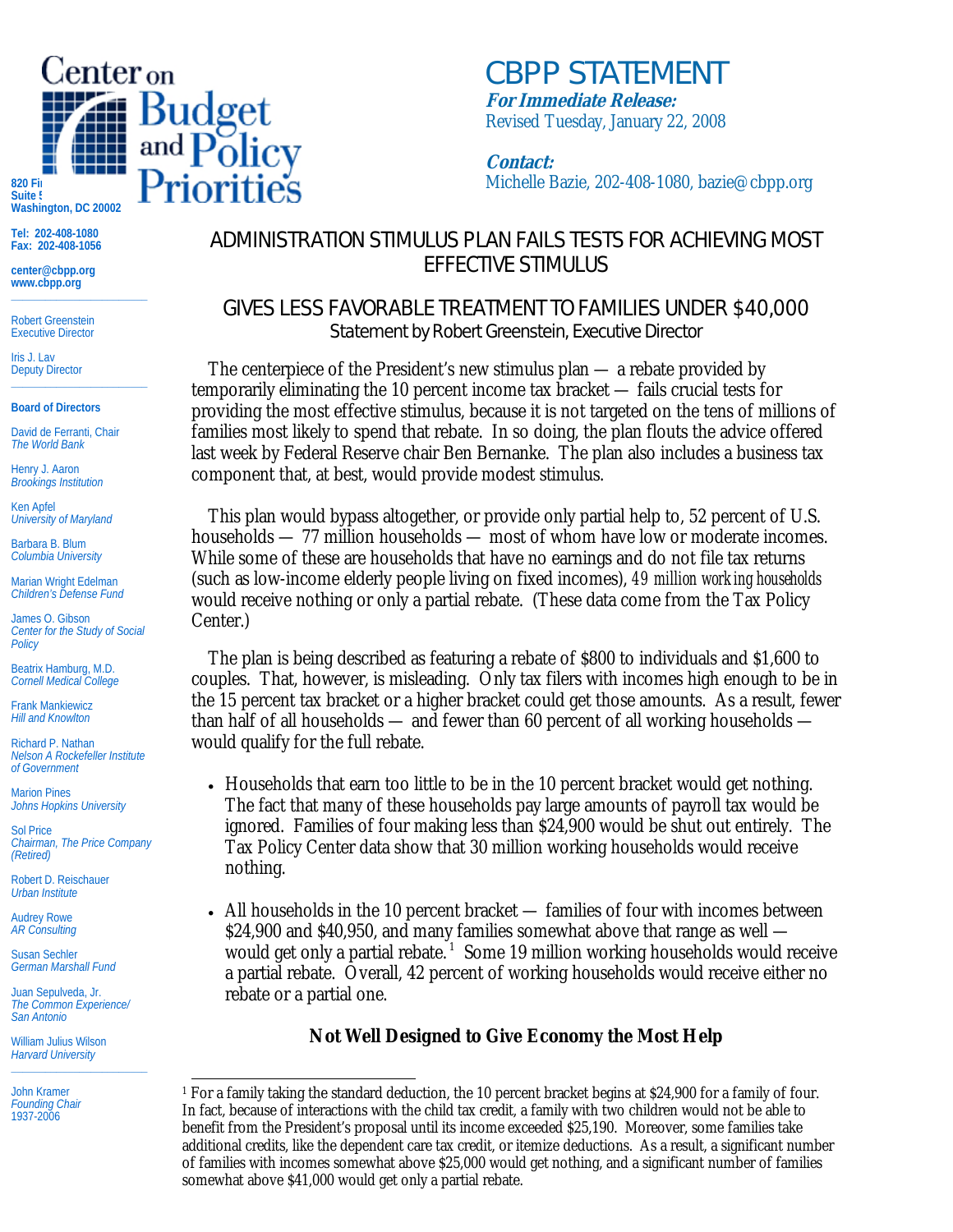

**Washington, DC 20002** 

**Tel: 202-408-1080 Fax: 202-408-1056** 

**center@cbpp.org www.cbpp.org \_\_\_\_\_\_\_\_\_\_\_\_\_\_\_\_\_\_\_\_\_\_\_\_** 

Robert Greenstein Executive Director

Iris J. Lav Deputy Director **\_\_\_\_\_\_\_\_\_\_\_\_\_\_\_\_\_\_\_\_\_\_\_\_** 

**Board of Directors** 

David de Ferranti, Chair *The World Bank* 

Henry J. Aaron *Brookings Institution* 

Ken Apfel *University of Maryland* 

Barbara B. Blum *Columbia University* 

Marian Wright Edelman *Children's Defense Fund* 

James O. Gibson *Center for the Study of Social Policy* 

Beatrix Hamburg, M.D. *Cornell Medical College* 

Frank Mankiewicz *Hill and Knowlton* 

Richard P. Nathan *Nelson A Rockefeller Institute of Government* 

Marion Pines *Johns Hopkins University* 

Sol Price *Chairman, The Price Company (Retired)* 

Robert D. Reischauer *Urban Institute* 

Audrey Rowe *AR Consulting* 

Susan Sechler *German Marshall Fund* 

Juan Sepulveda, Jr. *The Common Experience/ San Antonio* 

William Julius Wilson *Harvard University*  **\_\_\_\_\_\_\_\_\_\_\_\_\_\_\_\_\_\_\_\_\_\_\_\_** 

John Kramer *Founding Chair*  1937-2006

## ADMINISTRATION STIMULUS PLAN FAILS TESTS FOR ACHIEVING MOST EFFECTIVE STIMULUS

**Contact:**

*CBPP STATEMENT*

**For Immediate Release:** Revised Tuesday, January 22, 2008

## GIVES LESS FAVORABLE TREATMENT TO FAMILIES UNDER \$40,000 Statement by Robert Greenstein, Executive Director

 The centerpiece of the President's new stimulus plan — a rebate provided by temporarily eliminating the 10 percent income tax bracket — fails crucial tests for providing the most effective stimulus, because it is not targeted on the tens of millions of families most likely to spend that rebate. In so doing, the plan flouts the advice offered last week by Federal Reserve chair Ben Bernanke. The plan also includes a business tax component that, at best, would provide modest stimulus.

 This plan would bypass altogether, or provide only partial help to, 52 percent of U.S. households — 77 million households — most of whom have low or moderate incomes. While some of these are households that have no earnings and do not file tax returns (such as low-income elderly people living on fixed incomes), *49 million working households*  would receive nothing or only a partial rebate. (These data come from the Tax Policy Center.)

 The plan is being described as featuring a rebate of \$800 to individuals and \$1,600 to couples. That, however, is misleading. Only tax filers with incomes high enough to be in the 15 percent tax bracket or a higher bracket could get those amounts. As a result, fewer than half of all households — and fewer than 60 percent of all working households would qualify for the full rebate.

- Households that earn too little to be in the 10 percent bracket would get nothing. The fact that many of these households pay large amounts of payroll tax would be ignored. Families of four making less than \$24,900 would be shut out entirely. The Tax Policy Center data show that 30 million working households would receive nothing.
- All households in the 10 percent bracket families of four with incomes between \$24,900 and \$40,950, and many families somewhat above that range as well would get only a partial rebate.<sup>1</sup> Some 19 million working households would receive a partial rebate. Overall, 42 percent of working households would receive either no rebate or a partial one.

## **Not Well Designed to Give Economy the Most Help**

 $\overline{a}$ 1 For a family taking the standard deduction, the 10 percent bracket begins at \$24,900 for a family of four. In fact, because of interactions with the child tax credit, a family with two children would not be able to benefit from the President's proposal until its income exceeded \$25,190. Moreover, some families take additional credits, like the dependent care tax credit, or itemize deductions. As a result, a significant number of families with incomes somewhat above \$25,000 would get nothing, and a significant number of families somewhat above \$41,000 would get only a partial rebate.